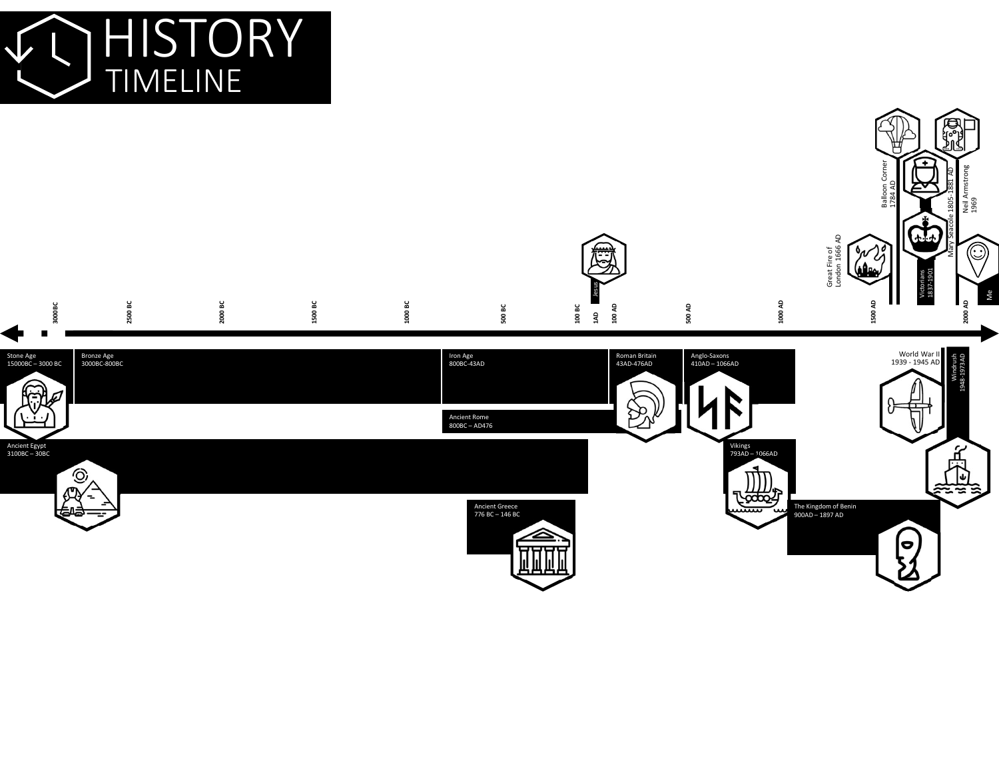

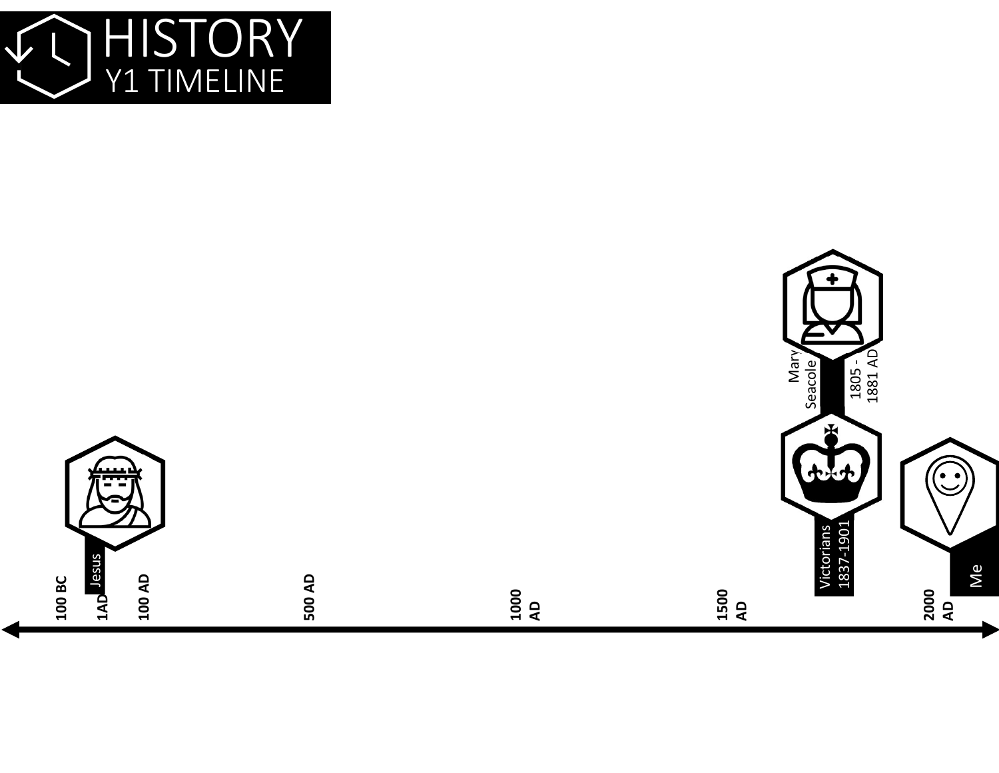

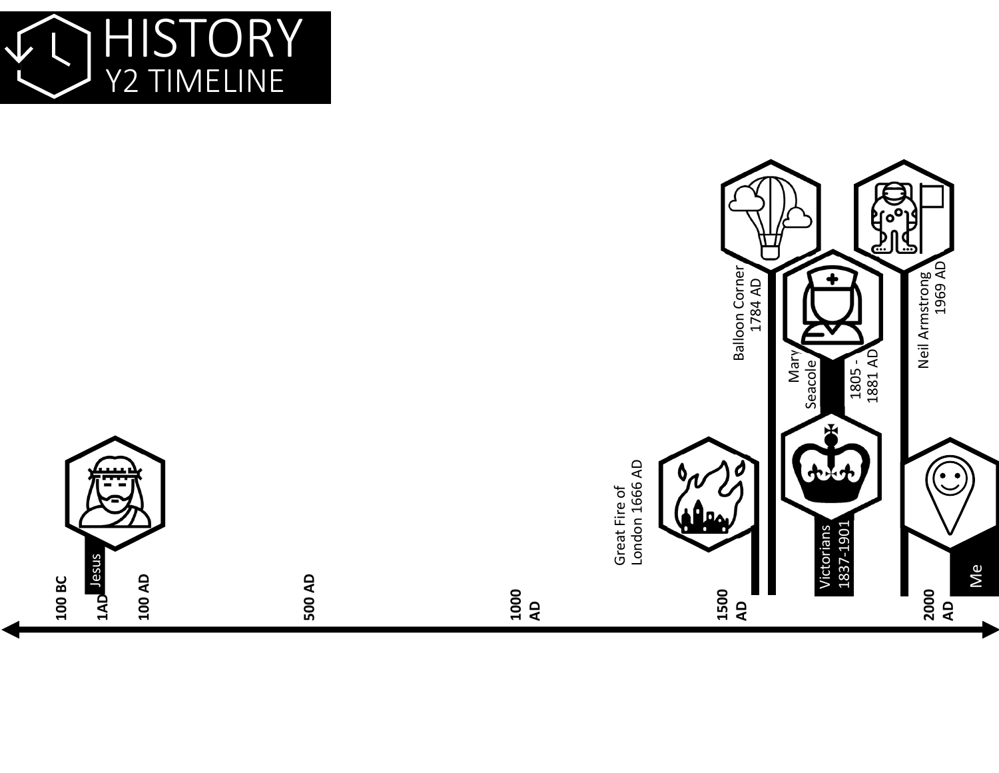

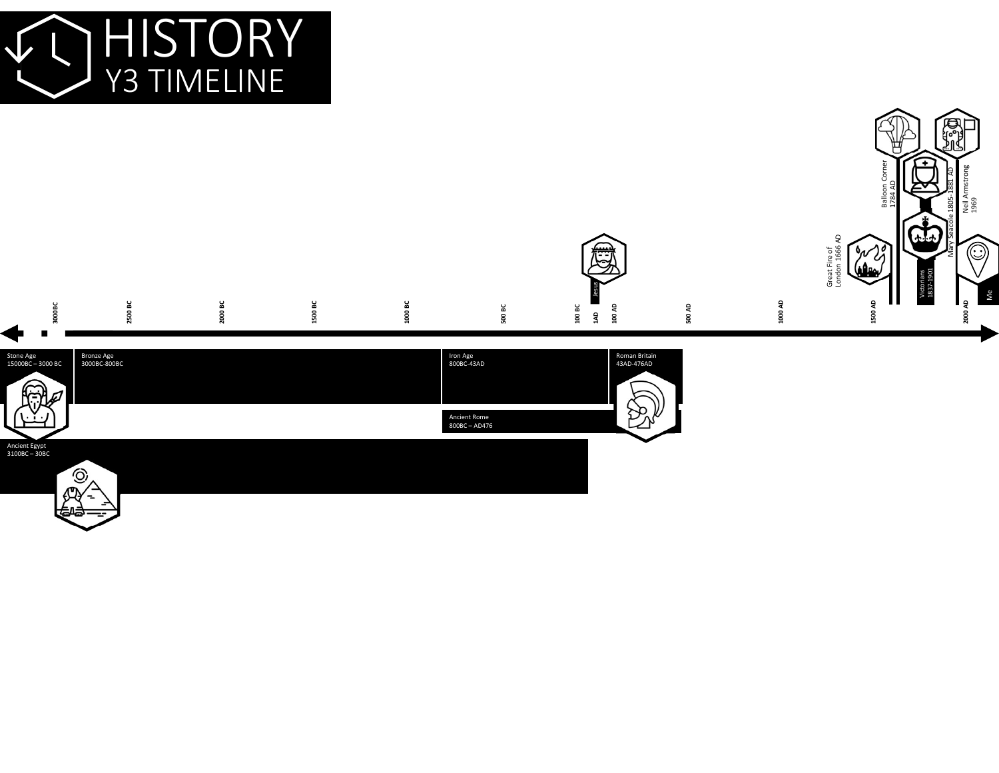

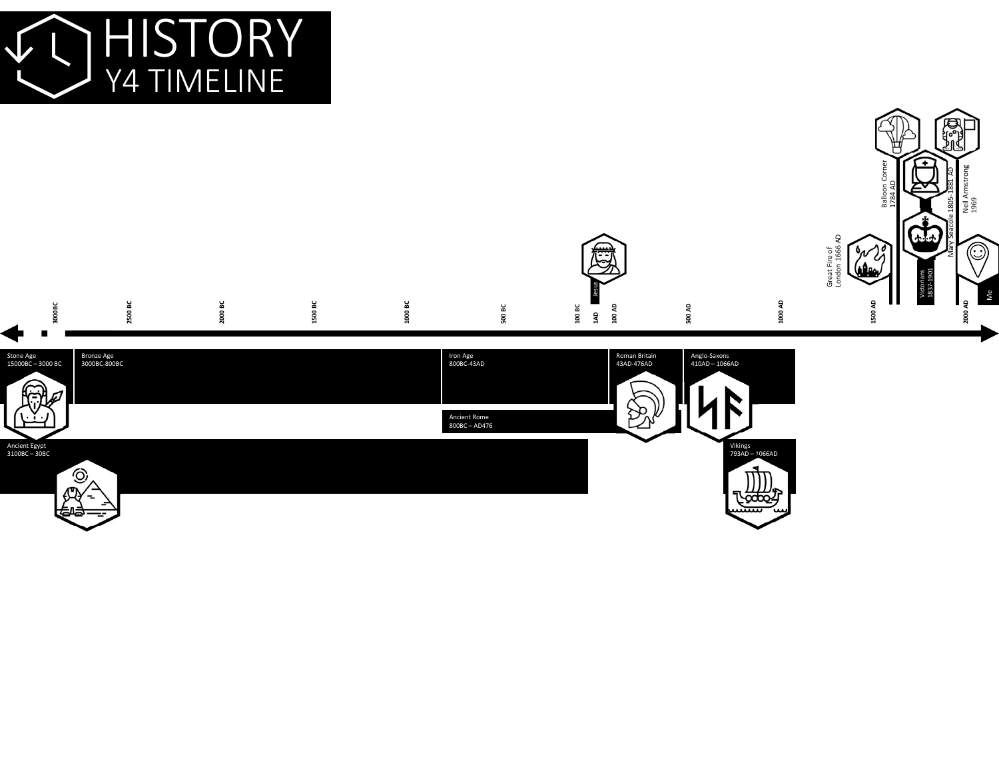

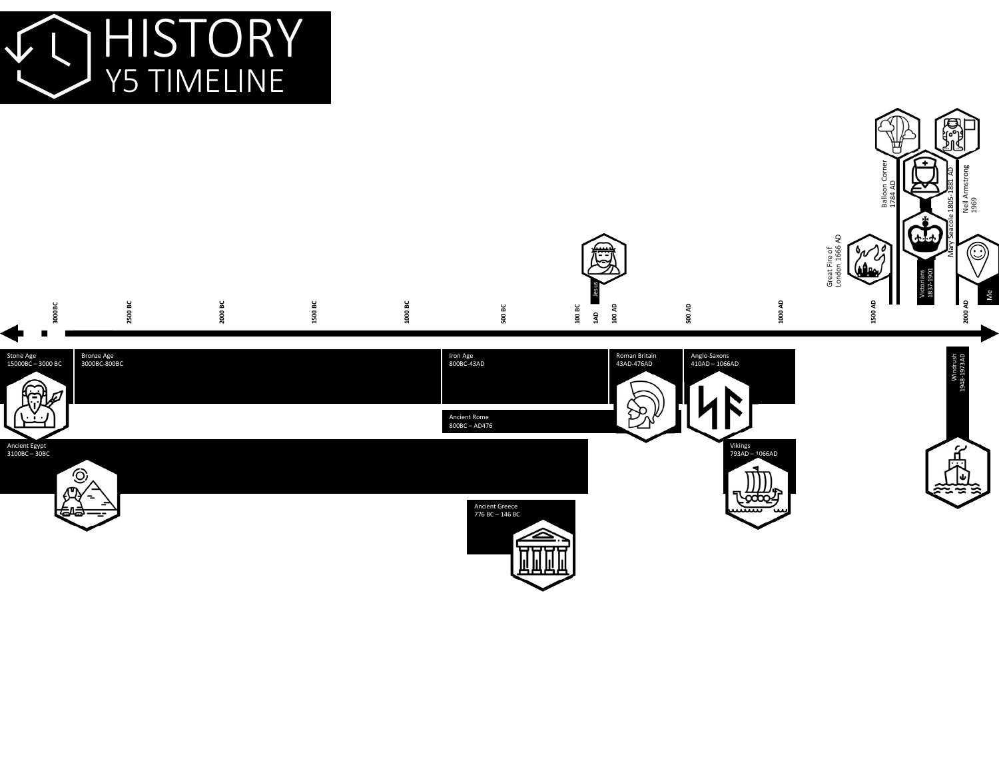